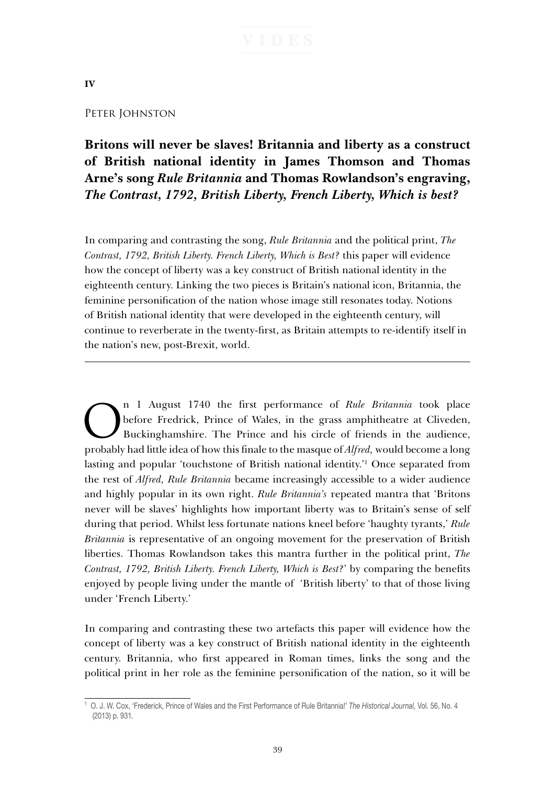## **IV**

## Peter Johnston

**Britons will never be slaves! Britannia and liberty as a construct of British national identity in James Thomson and Thomas Arne's song** *Rule Britannia* **and Thomas Rowlandson's engraving,** *The Contrast, 1792, British Liberty, French Liberty, Which is best?* 

In comparing and contrasting the song, *Rule Britannia* and the political print, *The Contrast, 1792, British Liberty. French Liberty, Which is Best?* this paper will evidence how the concept of liberty was a key construct of British national identity in the eighteenth century. Linking the two pieces is Britain's national icon, Britannia, the feminine personification of the nation whose image still resonates today. Notions of British national identity that were developed in the eighteenth century, will continue to reverberate in the twenty-first, as Britain attempts to re-identify itself in the nation's new, post-Brexit, world.

On 1 August 1740 the first performance of *Rule Britannia* took place<br>before Fredrick, Prince of Wales, in the grass amphitheatre at Cliveden,<br>Buckinghamshire. The Prince and his circle of friends in the audience, before Fredrick, Prince of Wales, in the grass amphitheatre at Cliveden, Buckinghamshire. The Prince and his circle of friends in the audience, probably had little idea of how this finale to the masque of *Alfred,* would become a long lasting and popular 'touchstone of British national identity.'1 Once separated from the rest of *Alfred, Rule Britannia* became increasingly accessible to a wider audience and highly popular in its own right. *Rule Britannia's* repeated mantra that 'Britons never will be slaves' highlights how important liberty was to Britain's sense of self during that period. Whilst less fortunate nations kneel before 'haughty tyrants,' *Rule Britannia* is representative of an ongoing movement for the preservation of British liberties. Thomas Rowlandson takes this mantra further in the political print, *The Contrast, 1792, British Liberty. French Liberty, Which is Best?*' by comparing the benefits enjoyed by people living under the mantle of 'British liberty' to that of those living under 'French Liberty.'

In comparing and contrasting these two artefacts this paper will evidence how the concept of liberty was a key construct of British national identity in the eighteenth century. Britannia, who first appeared in Roman times, links the song and the political print in her role as the feminine personification of the nation, so it will be

<sup>1</sup> O. J. W. Cox, 'Frederick, Prince of Wales and the First Performance of Rule Britannia!' *The Historical Journal,* Vol. 56, No. 4 (2013) p. 931*.*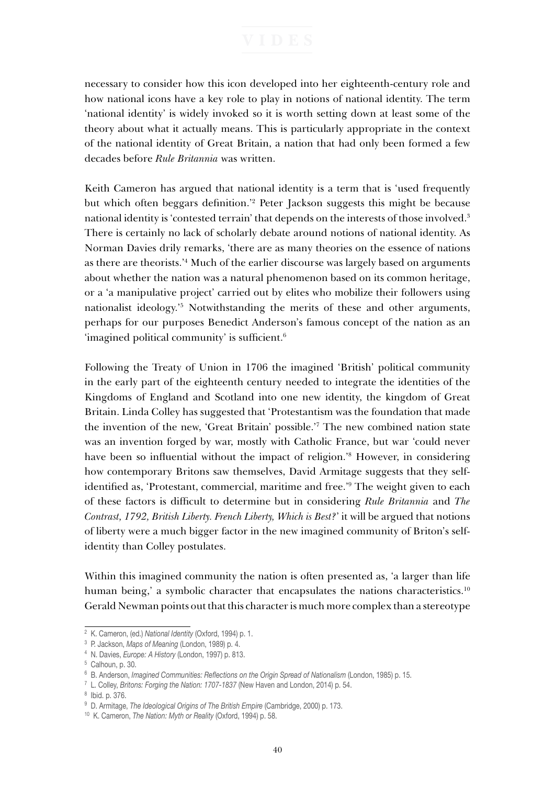necessary to consider how this icon developed into her eighteenth-century role and how national icons have a key role to play in notions of national identity. The term 'national identity' is widely invoked so it is worth setting down at least some of the theory about what it actually means. This is particularly appropriate in the context of the national identity of Great Britain, a nation that had only been formed a few decades before *Rule Britannia* was written.

Keith Cameron has argued that national identity is a term that is 'used frequently but which often beggars definition.'2 Peter Jackson suggests this might be because national identity is 'contested terrain' that depends on the interests of those involved.3 There is certainly no lack of scholarly debate around notions of national identity. As Norman Davies drily remarks, 'there are as many theories on the essence of nations as there are theorists.'4 Much of the earlier discourse was largely based on arguments about whether the nation was a natural phenomenon based on its common heritage, or a 'a manipulative project' carried out by elites who mobilize their followers using nationalist ideology.'5 Notwithstanding the merits of these and other arguments, perhaps for our purposes Benedict Anderson's famous concept of the nation as an 'imagined political community' is sufficient.6

Following the Treaty of Union in 1706 the imagined 'British' political community in the early part of the eighteenth century needed to integrate the identities of the Kingdoms of England and Scotland into one new identity, the kingdom of Great Britain. Linda Colley has suggested that 'Protestantism was the foundation that made the invention of the new, 'Great Britain' possible.'7 The new combined nation state was an invention forged by war, mostly with Catholic France, but war 'could never have been so influential without the impact of religion.'8 However, in considering how contemporary Britons saw themselves, David Armitage suggests that they selfidentified as, 'Protestant, commercial, maritime and free.'9 The weight given to each of these factors is difficult to determine but in considering *Rule Britannia* and *The Contrast, 1792, British Liberty. French Liberty, Which is Best?*' it will be argued that notions of liberty were a much bigger factor in the new imagined community of Briton's selfidentity than Colley postulates.

Within this imagined community the nation is often presented as, 'a larger than life human being,' a symbolic character that encapsulates the nations characteristics.<sup>10</sup> Gerald Newman points out that this character is much more complex than a stereotype

<sup>2</sup> K. Cameron, (ed.) *National Identity* (Oxford, 1994) p. 1.

<sup>3</sup> P. Jackson, *Maps of Meaning* (London, 1989) p. 4.

<sup>4</sup> N. Davies, *Europe: A History* (London, 1997) p. 813.

<sup>5</sup> Calhoun, p. 30.

<sup>6</sup> B. Anderson, *Imagined Communities: Reflections on the Origin Spread of Nationalism* (London, 1985) p. 15.

<sup>7</sup> L. Colley, *Britons: Forging the Nation: 1707-1837* (New Haven and London, 2014) p. 54.

<sup>8</sup> Ibid. p. 376.

<sup>9</sup> D. Armitage, *The Ideological Origins of The British Empire* (Cambridge, 2000) p. 173.

<sup>10</sup> K. Cameron, *The Nation: Myth or Reality* (Oxford, 1994) p. 58.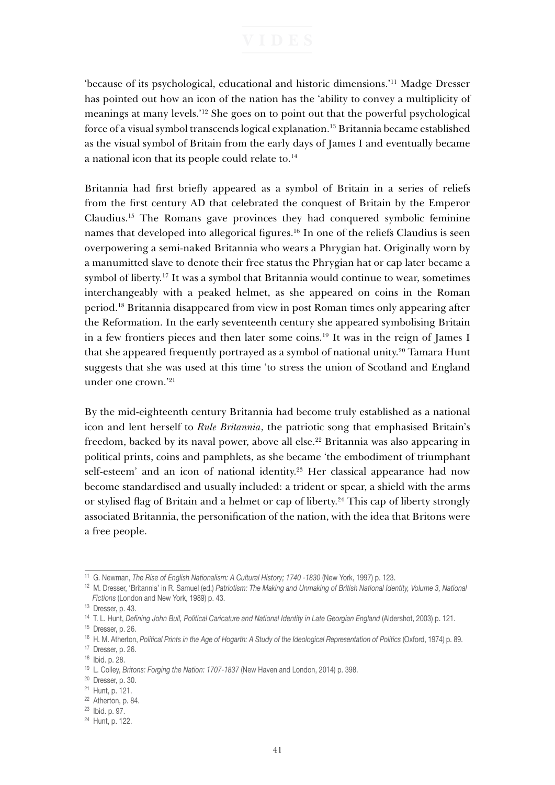'because of its psychological, educational and historic dimensions.'11 Madge Dresser has pointed out how an icon of the nation has the 'ability to convey a multiplicity of meanings at many levels.'12 She goes on to point out that the powerful psychological force of a visual symbol transcends logical explanation.13 Britannia became established as the visual symbol of Britain from the early days of James I and eventually became a national icon that its people could relate to.<sup>14</sup>

Britannia had first briefly appeared as a symbol of Britain in a series of reliefs from the first century AD that celebrated the conquest of Britain by the Emperor Claudius.15 The Romans gave provinces they had conquered symbolic feminine names that developed into allegorical figures.16 In one of the reliefs Claudius is seen overpowering a semi-naked Britannia who wears a Phrygian hat. Originally worn by a manumitted slave to denote their free status the Phrygian hat or cap later became a symbol of liberty.17 It was a symbol that Britannia would continue to wear, sometimes interchangeably with a peaked helmet, as she appeared on coins in the Roman period.18 Britannia disappeared from view in post Roman times only appearing after the Reformation. In the early seventeenth century she appeared symbolising Britain in a few frontiers pieces and then later some coins.19 It was in the reign of James I that she appeared frequently portrayed as a symbol of national unity.<sup>20</sup> Tamara Hunt suggests that she was used at this time 'to stress the union of Scotland and England under one crown.'21

By the mid-eighteenth century Britannia had become truly established as a national icon and lent herself to *Rule Britannia*, the patriotic song that emphasised Britain's freedom, backed by its naval power, above all else.<sup>22</sup> Britannia was also appearing in political prints, coins and pamphlets, as she became 'the embodiment of triumphant self-esteem' and an icon of national identity.<sup>23</sup> Her classical appearance had now become standardised and usually included: a trident or spear, a shield with the arms or stylised flag of Britain and a helmet or cap of liberty.<sup>24</sup> This cap of liberty strongly associated Britannia, the personification of the nation, with the idea that Britons were a free people.

<sup>&</sup>lt;sup>11</sup> G. Newman, *The Rise of English Nationalism: A Cultural History; 1740 -1830* (New York, 1997) p. 123.

<sup>12</sup> M. Dresser, 'Britannia' in R. Samuel (ed.) *Patriotism: The Making and Unmaking of British National Identity, Volume 3, National Fictions* (London and New York, 1989) p. 43.

<sup>&</sup>lt;sup>13</sup> Dresser, p. 43.

<sup>14</sup> T. L. Hunt, *Defining John Bull, Political Caricature and National Identity in Late Georgian England* (Aldershot, 2003) p. 121.

<sup>15</sup> Dresser, p. 26.

<sup>16</sup> H. M. Atherton, *Political Prints in the Age of Hogarth: A Study of the Ideological Representation of Politics* (Oxford, 1974) p. 89.

<sup>17</sup> Dresser, p. 26.

<sup>18</sup> Ibid. p. 28.

<sup>19</sup> L. Colley, *Britons: Forging the Nation: 1707-1837* (New Haven and London, 2014) p. 398.

<sup>20</sup> Dresser, p. 30.

<sup>21</sup> Hunt, p. 121.

<sup>22</sup> Atherton, p. 84.

<sup>23</sup> Ibid. p. 97.

<sup>24</sup> Hunt, p. 122.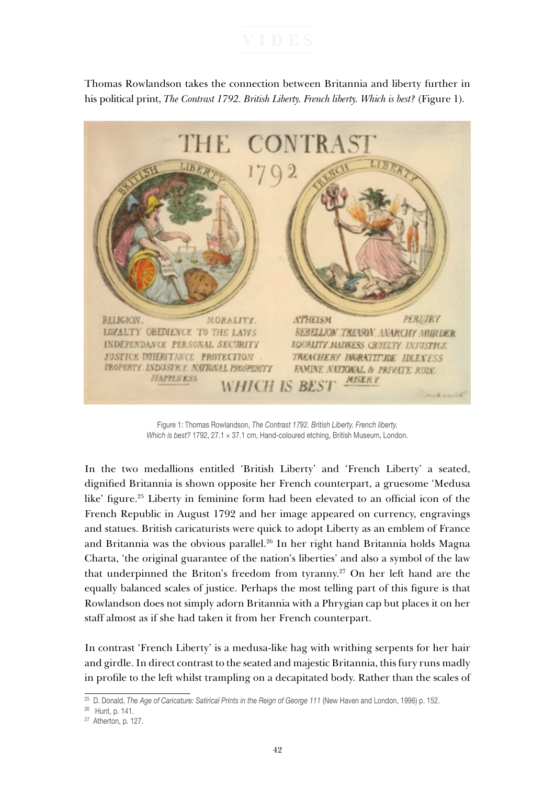Thomas Rowlandson takes the connection between Britannia and liberty further in his political print, *The Contrast 1792. British Liberty. French liberty. Which is best?* (Figure 1).



Figure 1: Thomas Rowlandson, *The Contrast 1792. British Liberty. French liberty. Which is best?* 1792, 27.1 × 37.1 cm, Hand-coloured etching, British Museum, London.

In the two medallions entitled 'British Liberty' and 'French Liberty' a seated, dignified Britannia is shown opposite her French counterpart, a gruesome 'Medusa like' figure.<sup>25</sup> Liberty in feminine form had been elevated to an official icon of the French Republic in August 1792 and her image appeared on currency, engravings and statues. British caricaturists were quick to adopt Liberty as an emblem of France and Britannia was the obvious parallel.26 In her right hand Britannia holds Magna Charta, 'the original guarantee of the nation's liberties' and also a symbol of the law that underpinned the Briton's freedom from tyranny.27 On her left hand are the equally balanced scales of justice. Perhaps the most telling part of this figure is that Rowlandson does not simply adorn Britannia with a Phrygian cap but places it on her staff almost as if she had taken it from her French counterpart.

In contrast 'French Liberty' is a medusa-like hag with writhing serpents for her hair and girdle. In direct contrast to the seated and majestic Britannia, this fury runs madly in profile to the left whilst trampling on a decapitated body. Rather than the scales of

<sup>25</sup> D. Donald, *The Age of Caricature: Satirical Prints in the Reign of George 111* (New Haven and London, 1996) p. 152.

<sup>26</sup> Hunt, p. 141.

<sup>27</sup> Atherton, p. 127.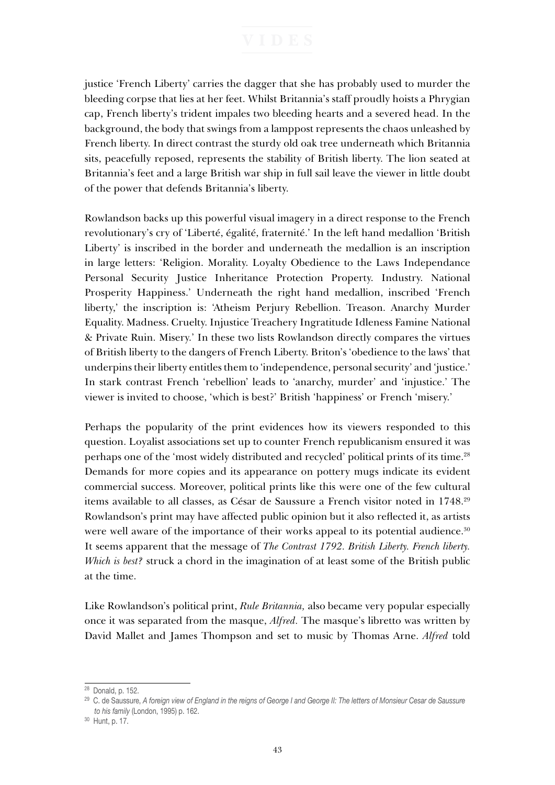justice 'French Liberty' carries the dagger that she has probably used to murder the bleeding corpse that lies at her feet. Whilst Britannia's staff proudly hoists a Phrygian cap, French liberty's trident impales two bleeding hearts and a severed head. In the background, the body that swings from a lamppost represents the chaos unleashed by French liberty. In direct contrast the sturdy old oak tree underneath which Britannia sits, peacefully reposed, represents the stability of British liberty. The lion seated at Britannia's feet and a large British war ship in full sail leave the viewer in little doubt of the power that defends Britannia's liberty.

Rowlandson backs up this powerful visual imagery in a direct response to the French revolutionary's cry of 'Liberté, égalité, fraternité.' In the left hand medallion 'British Liberty' is inscribed in the border and underneath the medallion is an inscription in large letters: 'Religion. Morality. Loyalty Obedience to the Laws Independance Personal Security Justice Inheritance Protection Property. Industry. National Prosperity Happiness.' Underneath the right hand medallion, inscribed 'French liberty,' the inscription is: 'Atheism Perjury Rebellion. Treason. Anarchy Murder Equality. Madness. Cruelty. Injustice Treachery Ingratitude Idleness Famine National & Private Ruin. Misery.' In these two lists Rowlandson directly compares the virtues of British liberty to the dangers of French Liberty. Briton's 'obedience to the laws' that underpins their liberty entitles them to 'independence, personal security' and 'justice.' In stark contrast French 'rebellion' leads to 'anarchy, murder' and 'injustice.' The viewer is invited to choose, 'which is best?' British 'happiness' or French 'misery.'

Perhaps the popularity of the print evidences how its viewers responded to this question. Loyalist associations set up to counter French republicanism ensured it was perhaps one of the 'most widely distributed and recycled' political prints of its time.28 Demands for more copies and its appearance on pottery mugs indicate its evident commercial success. Moreover, political prints like this were one of the few cultural items available to all classes, as César de Saussure a French visitor noted in 1748.29 Rowlandson's print may have affected public opinion but it also reflected it, as artists were well aware of the importance of their works appeal to its potential audience.<sup>30</sup> It seems apparent that the message of *The Contrast 1792. British Liberty. French liberty. Which is best?* struck a chord in the imagination of at least some of the British public at the time.

Like Rowlandson's political print, *Rule Britannia,* also became very popular especially once it was separated from the masque, *Alfred.* The masque's libretto was written by David Mallet and James Thompson and set to music by Thomas Arne. *Alfred* told

<sup>28</sup> Donald, p. 152.

<sup>&</sup>lt;sup>29</sup> C. de Saussure, A foreign view of England in the reigns of George I and George II: The letters of Monsieur Cesar de Saussure  *to his family* (London, 1995) p. 162.

<sup>30</sup> Hunt, p. 17.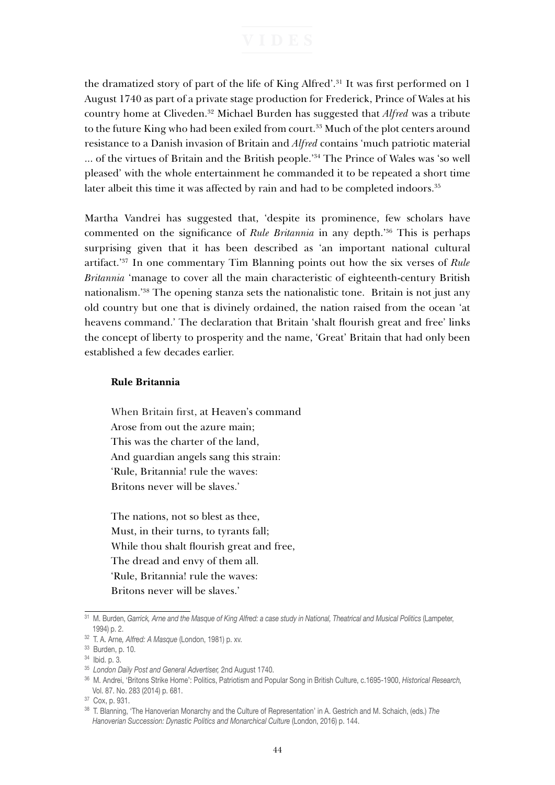the dramatized story of part of the life of King Alfred'.31 It was first performed on 1 August 1740 as part of a private stage production for Frederick, Prince of Wales at his country home at Cliveden.32 Michael Burden has suggested that *Alfred* was a tribute to the future King who had been exiled from court.<sup>33</sup> Much of the plot centers around resistance to a Danish invasion of Britain and *Alfred* contains 'much patriotic material ... of the virtues of Britain and the British people.'34 The Prince of Wales was 'so well pleased' with the whole entertainment he commanded it to be repeated a short time later albeit this time it was affected by rain and had to be completed indoors.<sup>35</sup>

Martha Vandrei has suggested that, 'despite its prominence, few scholars have commented on the significance of *Rule Britannia* in any depth.'36 This is perhaps surprising given that it has been described as 'an important national cultural artifact.'37 In one commentary Tim Blanning points out how the six verses of *Rule Britannia* 'manage to cover all the main characteristic of eighteenth-century British nationalism.'38 The opening stanza sets the nationalistic tone. Britain is not just any old country but one that is divinely ordained, the nation raised from the ocean 'at heavens command.' The declaration that Britain 'shalt flourish great and free' links the concept of liberty to prosperity and the name, 'Great' Britain that had only been established a few decades earlier.

### **Rule Britannia**

When Britain first, at Heaven's command Arose from out the azure main; This was the charter of the land, And guardian angels sang this strain: 'Rule, Britannia! rule the waves: Britons never will be slaves.'

The nations, not so blest as thee, Must, in their turns, to tyrants fall; While thou shalt flourish great and free, The dread and envy of them all. 'Rule, Britannia! rule the waves: Britons never will be slaves.'

<sup>31</sup> M. Burden, *Garrick, Arne and the Masque of King Alfred: a case study in National, Theatrical and Musical Politics* (Lampeter, 1994) p. 2.

<sup>32</sup> T. A. Arne*, Alfred: A Masque* (London, 1981) p. xv.

<sup>33</sup> Burden, p. 10.

<sup>34</sup> Ibid. p. 3.

<sup>&</sup>lt;sup>35</sup> London Daily Post and General Advertiser, 2nd August 1740.<br><sup>36</sup> M. Andrei, 'Britons Strike Home': Politics, Patriotism and Popular Song in British Culture, c.1695-1900, *Historical Research*, Vol. 87. No. 283 (2014) p. 681.

<sup>37</sup> Cox, p. 931.

<sup>38</sup> T. Blanning, 'The Hanoverian Monarchy and the Culture of Representation' in A. Gestrich and M. Schaich, (eds.) *The Hanoverian Succession: Dynastic Politics and Monarchical Culture (London, 2016) p. 144.*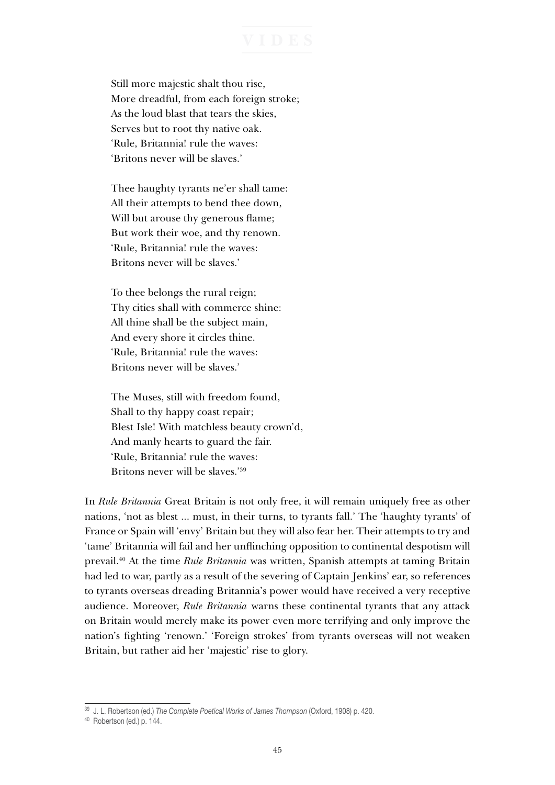Still more majestic shalt thou rise, More dreadful, from each foreign stroke; As the loud blast that tears the skies, Serves but to root thy native oak. 'Rule, Britannia! rule the waves: 'Britons never will be slaves.'

Thee haughty tyrants ne'er shall tame: All their attempts to bend thee down, Will but arouse thy generous flame; But work their woe, and thy renown. 'Rule, Britannia! rule the waves: Britons never will be slaves.'

To thee belongs the rural reign; Thy cities shall with commerce shine: All thine shall be the subject main, And every shore it circles thine. 'Rule, Britannia! rule the waves: Britons never will be slaves.'

The Muses, still with freedom found, Shall to thy happy coast repair; Blest Isle! With matchless beauty crown'd, And manly hearts to guard the fair. 'Rule, Britannia! rule the waves: Britons never will be slaves.'39

In *Rule Britannia* Great Britain is not only free, it will remain uniquely free as other nations, 'not as blest ... must, in their turns, to tyrants fall.' The 'haughty tyrants' of France or Spain will 'envy' Britain but they will also fear her. Their attempts to try and 'tame' Britannia will fail and her unflinching opposition to continental despotism will prevail.40 At the time *Rule Britannia* was written, Spanish attempts at taming Britain had led to war, partly as a result of the severing of Captain Jenkins' ear, so references to tyrants overseas dreading Britannia's power would have received a very receptive audience. Moreover, *Rule Britannia* warns these continental tyrants that any attack on Britain would merely make its power even more terrifying and only improve the nation's fighting 'renown.' 'Foreign strokes' from tyrants overseas will not weaken Britain, but rather aid her 'majestic' rise to glory.

<sup>39</sup> J. L. Robertson (ed.) *The Complete Poetical Works of James Thompson* (Oxford, 1908) p. 420.

<sup>40</sup> Robertson (ed.) p. 144.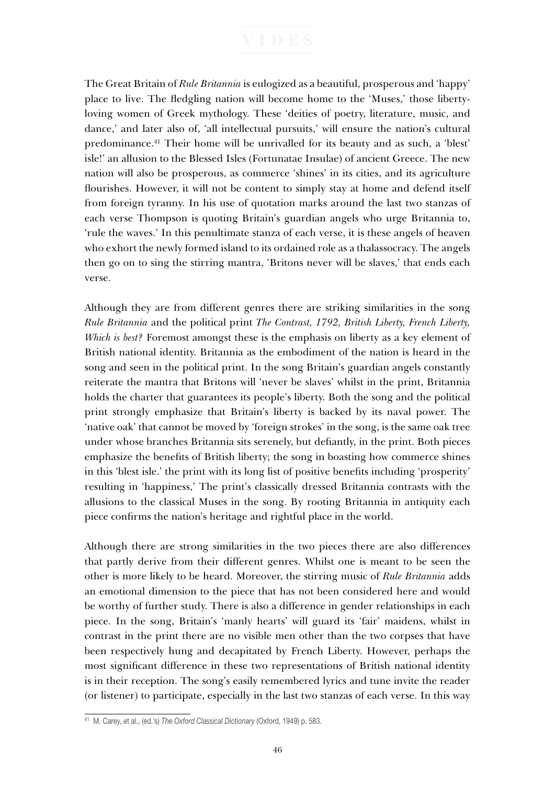The Great Britain of *Rule Britannia* is eulogized as a beautiful, prosperous and 'happy' place to live. The fledgling nation will become home to the 'Muses,' those libertyloving women of Greek mythology. These 'deities of poetry, literature, music, and dance,' and later also of, 'all intellectual pursuits,' will ensure the nation's cultural predominance.41 Their home will be unrivalled for its beauty and as such, a 'blest' isle!' an allusion to the Blessed Isles (Fortunatae Insulae) of ancient Greece. The new nation will also be prosperous, as commerce 'shines' in its cities, and its agriculture flourishes. However, it will not be content to simply stay at home and defend itself from foreign tyranny. In his use of quotation marks around the last two stanzas of each verse Thompson is quoting Britain's guardian angels who urge Britannia to, 'rule the waves.' In this penultimate stanza of each verse, it is these angels of heaven who exhort the newly formed island to its ordained role as a thalassocracy. The angels then go on to sing the stirring mantra, 'Britons never will be slaves,' that ends each verse.

Although they are from different genres there are striking similarities in the song *Rule Britannia* and the political print *The Contrast, 1792, British Liberty, French Liberty, Which is best?* Foremost amongst these is the emphasis on liberty as a key element of British national identity. Britannia as the embodiment of the nation is heard in the song and seen in the political print. In the song Britain's guardian angels constantly reiterate the mantra that Britons will 'never be slaves' whilst in the print, Britannia holds the charter that guarantees its people's liberty. Both the song and the political print strongly emphasize that Britain's liberty is backed by its naval power. The 'native oak' that cannot be moved by 'foreign strokes' in the song, is the same oak tree under whose branches Britannia sits serenely, but defiantly, in the print. Both pieces emphasize the benefits of British liberty; the song in boasting how commerce shines in this 'blest isle.' the print with its long list of positive benefits including 'prosperity' resulting in 'happiness,' The print's classically dressed Britannia contrasts with the allusions to the classical Muses in the song. By rooting Britannia in antiquity each piece confirms the nation's heritage and rightful place in the world.

Although there are strong similarities in the two pieces there are also differences that partly derive from their different genres. Whilst one is meant to be seen the other is more likely to be heard. Moreover, the stirring music of *Rule Britannia* adds an emotional dimension to the piece that has not been considered here and would be worthy of further study. There is also a difference in gender relationships in each piece. In the song, Britain's 'manly hearts' will guard its 'fair' maidens, whilst in contrast in the print there are no visible men other than the two corpses that have been respectively hung and decapitated by French Liberty. However, perhaps the most significant difference in these two representations of British national identity is in their reception. The song's easily remembered lyrics and tune invite the reader (or listener) to participate, especially in the last two stanzas of each verse. In this way

<sup>41</sup> M. Carey, et al., (ed.'s) *The Oxford Classical Dictionary* (Oxford, 1949) p. 583.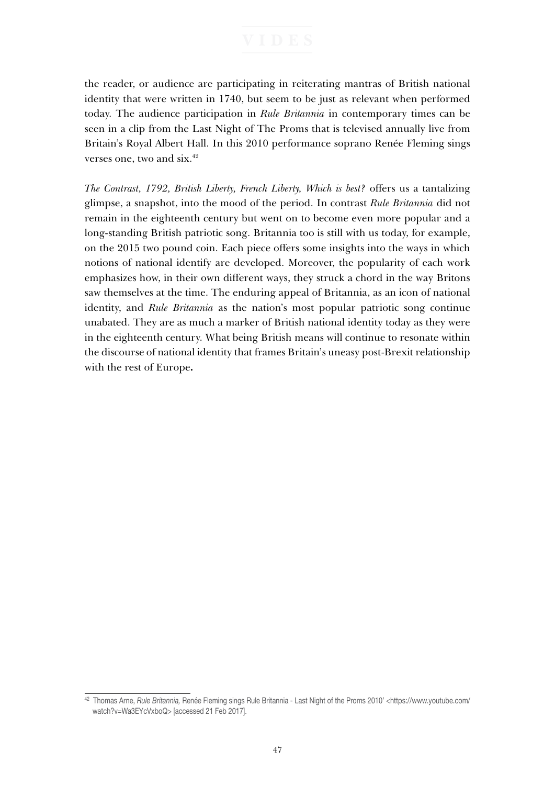the reader, or audience are participating in reiterating mantras of British national identity that were written in 1740, but seem to be just as relevant when performed today. The audience participation in *Rule Britannia* in contemporary times can be seen in a clip from the Last Night of The Proms that is televised annually live from Britain's Royal Albert Hall. In this 2010 performance soprano Renée Fleming sings verses one, two and six.42

*The Contrast, 1792, British Liberty, French Liberty, Which is best?* offers us a tantalizing glimpse, a snapshot, into the mood of the period. In contrast *Rule Britannia* did not remain in the eighteenth century but went on to become even more popular and a long-standing British patriotic song. Britannia too is still with us today, for example, on the 2015 two pound coin. Each piece offers some insights into the ways in which notions of national identify are developed. Moreover, the popularity of each work emphasizes how, in their own different ways, they struck a chord in the way Britons saw themselves at the time. The enduring appeal of Britannia, as an icon of national identity, and *Rule Britannia* as the nation's most popular patriotic song continue unabated. They are as much a marker of British national identity today as they were in the eighteenth century. What being British means will continue to resonate within the discourse of national identity that frames Britain's uneasy post-Brexit relationship with the rest of Europe**.** 

<sup>42</sup> Thomas Arne, *Rule Britannia,* Renée Fleming sings Rule Britannia - Last Night of the Proms 2010' <https://www.youtube.com/ watch?v=Wa3EYcVxboQ> [accessed 21 Feb 2017].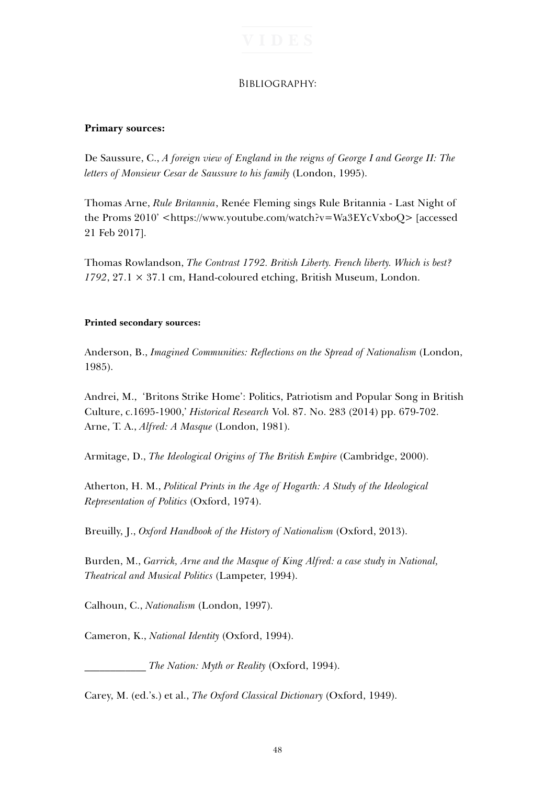# Bibliography:

### **Primary sources:**

De Saussure, C., *A foreign view of England in the reigns of George I and George II: The letters of Monsieur Cesar de Saussure to his family* (London, 1995).

Thomas Arne, *Rule Britannia*, Renée Fleming sings Rule Britannia - Last Night of the Proms 2010' <https://www.youtube.com/watch?v=Wa3EYcVxboQ> [accessed 21 Feb 2017].

Thomas Rowlandson, *The Contrast 1792. British Liberty. French liberty. Which is best? 1792*, 27.1 × 37.1 cm, Hand-coloured etching, British Museum, London.

### **Printed secondary sources:**

Anderson, B., *Imagined Communities: Reflections on the Spread of Nationalism* (London, 1985).

Andrei, M., 'Britons Strike Home': Politics, Patriotism and Popular Song in British Culture, c.1695-1900,' *Historical Research* Vol. 87. No. 283 (2014) pp. 679-702. Arne, T. A., *Alfred: A Masque* (London, 1981).

Armitage, D., *The Ideological Origins of The British Empire* (Cambridge, 2000).

Atherton, H. M., *Political Prints in the Age of Hogarth: A Study of the Ideological Representation of Politics* (Oxford, 1974).

Breuilly, J., *Oxford Handbook of the History of Nationalism* (Oxford, 2013).

Burden, M., *Garrick, Arne and the Masque of King Alfred: a case study in National, Theatrical and Musical Politics* (Lampeter, 1994).

Calhoun, C., *Nationalism* (London, 1997).

Cameron, K., *National Identity* (Oxford, 1994).

\_\_\_\_\_\_\_\_\_\_\_\_ *The Nation: Myth or Reality* (Oxford, 1994).

Carey, M. (ed.'s.) et al., *The Oxford Classical Dictionary* (Oxford, 1949).